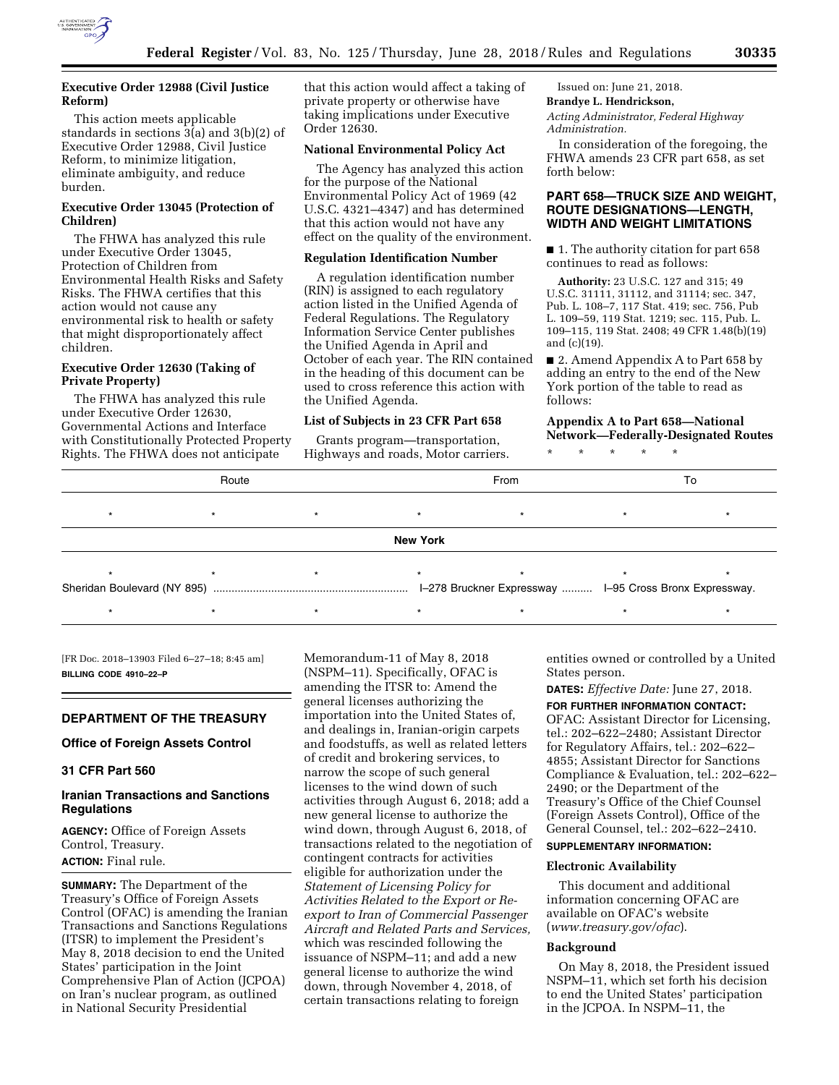

# **Executive Order 12988 (Civil Justice Reform)**

This action meets applicable standards in sections 3(a) and 3(b)(2) of Executive Order 12988, Civil Justice Reform, to minimize litigation, eliminate ambiguity, and reduce burden.

# **Executive Order 13045 (Protection of Children)**

The FHWA has analyzed this rule under Executive Order 13045, Protection of Children from Environmental Health Risks and Safety Risks. The FHWA certifies that this action would not cause any environmental risk to health or safety that might disproportionately affect children.

# **Executive Order 12630 (Taking of Private Property)**

The FHWA has analyzed this rule under Executive Order 12630, Governmental Actions and Interface with Constitutionally Protected Property Rights. The FHWA does not anticipate

that this action would affect a taking of private property or otherwise have taking implications under Executive Order 12630.

# **National Environmental Policy Act**

The Agency has analyzed this action for the purpose of the National Environmental Policy Act of 1969 (42 U.S.C. 4321–4347) and has determined that this action would not have any effect on the quality of the environment.

#### **Regulation Identification Number**

A regulation identification number (RIN) is assigned to each regulatory action listed in the Unified Agenda of Federal Regulations. The Regulatory Information Service Center publishes the Unified Agenda in April and October of each year. The RIN contained in the heading of this document can be used to cross reference this action with the Unified Agenda.

# **List of Subjects in 23 CFR Part 658**

Grants program—transportation, Highways and roads, Motor carriers.

# Issued on: June 21, 2018.

**Brandye L. Hendrickson,** 

*Acting Administrator, Federal Highway Administration.* 

In consideration of the foregoing, the FHWA amends 23 CFR part 658, as set forth below:

# **PART 658—TRUCK SIZE AND WEIGHT, ROUTE DESIGNATIONS—LENGTH, WIDTH AND WEIGHT LIMITATIONS**

■ 1. The authority citation for part 658 continues to read as follows:

**Authority:** 23 U.S.C. 127 and 315; 49 U.S.C. 31111, 31112, and 31114; sec. 347, Pub. L. 108–7, 117 Stat. 419; sec. 756, Pub L. 109–59, 119 Stat. 1219; sec. 115, Pub. L. 109–115, 119 Stat. 2408; 49 CFR 1.48(b)(19) and (c)(19).

■ 2. Amend Appendix A to Part 658 by adding an entry to the end of the New York portion of the table to read as follows:

**Appendix A to Part 658—National Network—Federally-Designated Routes** 

\* \* \* \* \*

| Route           |  |         |  | From |  | 10 |  |
|-----------------|--|---------|--|------|--|----|--|
|                 |  | $\star$ |  |      |  |    |  |
| <b>New York</b> |  |         |  |      |  |    |  |
|                 |  |         |  |      |  |    |  |
|                 |  |         |  |      |  |    |  |

[FR Doc. 2018–13903 Filed 6–27–18; 8:45 am] **BILLING CODE 4910–22–P** 

#### **DEPARTMENT OF THE TREASURY**

# **Office of Foreign Assets Control**

# **31 CFR Part 560**

# **Iranian Transactions and Sanctions Regulations**

**AGENCY:** Office of Foreign Assets Control, Treasury. **ACTION:** Final rule.

**SUMMARY:** The Department of the Treasury's Office of Foreign Assets Control (OFAC) is amending the Iranian Transactions and Sanctions Regulations (ITSR) to implement the President's May 8, 2018 decision to end the United States' participation in the Joint Comprehensive Plan of Action (JCPOA) on Iran's nuclear program, as outlined in National Security Presidential

Memorandum-11 of May 8, 2018 (NSPM–11). Specifically, OFAC is amending the ITSR to: Amend the general licenses authorizing the importation into the United States of, and dealings in, Iranian-origin carpets and foodstuffs, as well as related letters of credit and brokering services, to narrow the scope of such general licenses to the wind down of such activities through August 6, 2018; add a new general license to authorize the wind down, through August 6, 2018, of transactions related to the negotiation of contingent contracts for activities eligible for authorization under the *Statement of Licensing Policy for Activities Related to the Export or Reexport to Iran of Commercial Passenger Aircraft and Related Parts and Services,*  which was rescinded following the issuance of NSPM–11; and add a new general license to authorize the wind down, through November 4, 2018, of certain transactions relating to foreign

entities owned or controlled by a United States person.

**DATES:** *Effective Date:* June 27, 2018.

**FOR FURTHER INFORMATION CONTACT:**  OFAC: Assistant Director for Licensing, tel.: 202–622–2480; Assistant Director for Regulatory Affairs, tel.: 202–622– 4855; Assistant Director for Sanctions Compliance & Evaluation, tel.: 202–622– 2490; or the Department of the Treasury's Office of the Chief Counsel (Foreign Assets Control), Office of the General Counsel, tel.: 202–622–2410.

# **SUPPLEMENTARY INFORMATION:**

# **Electronic Availability**

This document and additional information concerning OFAC are available on OFAC's website (*[www.treasury.gov/ofac](http://www.treasury.gov/ofac)*).

#### **Background**

On May 8, 2018, the President issued NSPM–11, which set forth his decision to end the United States' participation in the JCPOA. In NSPM–11, the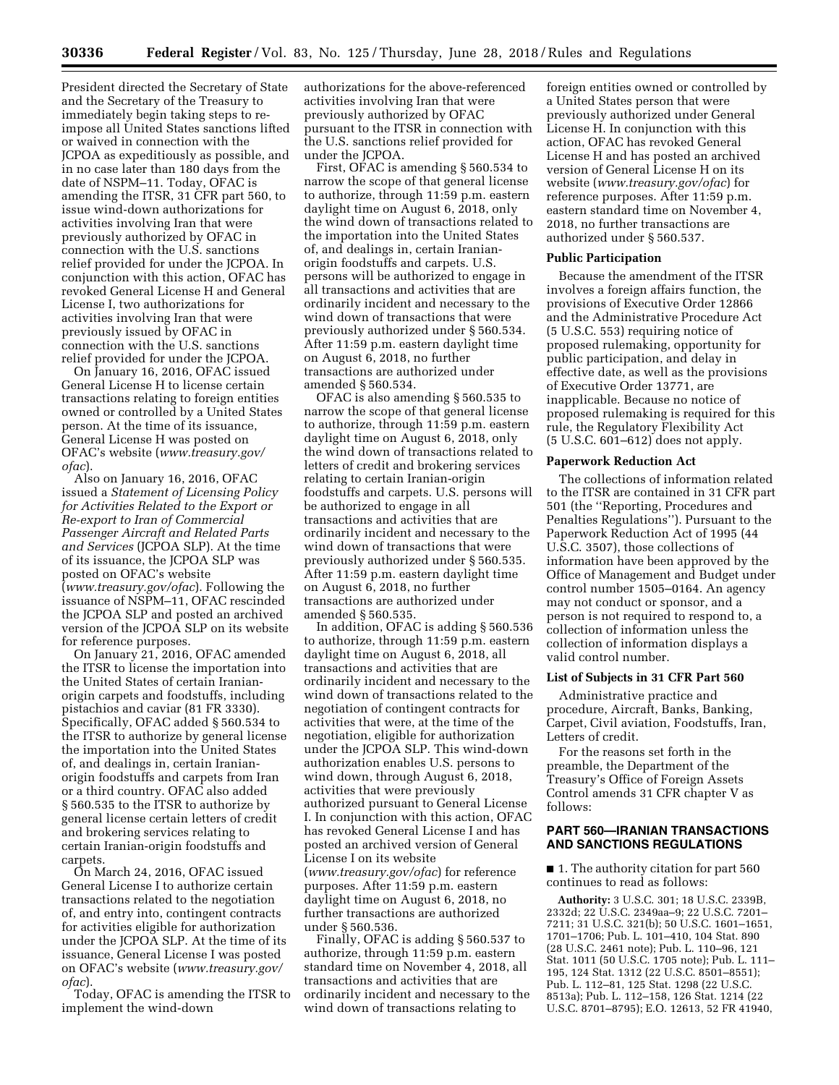President directed the Secretary of State and the Secretary of the Treasury to immediately begin taking steps to reimpose all United States sanctions lifted or waived in connection with the JCPOA as expeditiously as possible, and in no case later than 180 days from the date of NSPM–11. Today, OFAC is amending the ITSR, 31 CFR part 560, to issue wind-down authorizations for activities involving Iran that were previously authorized by OFAC in connection with the U.S. sanctions relief provided for under the JCPOA. In conjunction with this action, OFAC has revoked General License H and General License I, two authorizations for activities involving Iran that were previously issued by OFAC in connection with the U.S. sanctions relief provided for under the JCPOA.

On January 16, 2016, OFAC issued General License H to license certain transactions relating to foreign entities owned or controlled by a United States person. At the time of its issuance, General License H was posted on OFAC's website (*[www.treasury.gov/](http://www.treasury.gov/ofac) [ofac](http://www.treasury.gov/ofac)*).

Also on January 16, 2016, OFAC issued a *Statement of Licensing Policy for Activities Related to the Export or Re-export to Iran of Commercial Passenger Aircraft and Related Parts and Services* (JCPOA SLP). At the time of its issuance, the JCPOA SLP was posted on OFAC's website (*[www.treasury.gov/ofac](http://www.treasury.gov/ofac)*). Following the issuance of NSPM–11, OFAC rescinded the JCPOA SLP and posted an archived version of the JCPOA SLP on its website for reference purposes.

On January 21, 2016, OFAC amended the ITSR to license the importation into the United States of certain Iranianorigin carpets and foodstuffs, including pistachios and caviar (81 FR 3330). Specifically, OFAC added § 560.534 to the ITSR to authorize by general license the importation into the United States of, and dealings in, certain Iranianorigin foodstuffs and carpets from Iran or a third country. OFAC also added § 560.535 to the ITSR to authorize by general license certain letters of credit and brokering services relating to certain Iranian-origin foodstuffs and carpets.

On March 24, 2016, OFAC issued General License I to authorize certain transactions related to the negotiation of, and entry into, contingent contracts for activities eligible for authorization under the JCPOA SLP. At the time of its issuance, General License I was posted on OFAC's website (*[www.treasury.gov/](http://www.treasury.gov/ofac) [ofac](http://www.treasury.gov/ofac)*).

Today, OFAC is amending the ITSR to implement the wind-down

authorizations for the above-referenced activities involving Iran that were previously authorized by OFAC pursuant to the ITSR in connection with the U.S. sanctions relief provided for under the JCPOA.

First, OFAC is amending § 560.534 to narrow the scope of that general license to authorize, through 11:59 p.m. eastern daylight time on August 6, 2018, only the wind down of transactions related to the importation into the United States of, and dealings in, certain Iranianorigin foodstuffs and carpets. U.S. persons will be authorized to engage in all transactions and activities that are ordinarily incident and necessary to the wind down of transactions that were previously authorized under § 560.534. After 11:59 p.m. eastern daylight time on August 6, 2018, no further transactions are authorized under amended § 560.534.

OFAC is also amending § 560.535 to narrow the scope of that general license to authorize, through 11:59 p.m. eastern daylight time on August 6, 2018, only the wind down of transactions related to letters of credit and brokering services relating to certain Iranian-origin foodstuffs and carpets. U.S. persons will be authorized to engage in all transactions and activities that are ordinarily incident and necessary to the wind down of transactions that were previously authorized under § 560.535. After 11:59 p.m. eastern daylight time on August 6, 2018, no further transactions are authorized under amended § 560.535.

In addition, OFAC is adding § 560.536 to authorize, through 11:59 p.m. eastern daylight time on August 6, 2018, all transactions and activities that are ordinarily incident and necessary to the wind down of transactions related to the negotiation of contingent contracts for activities that were, at the time of the negotiation, eligible for authorization under the JCPOA SLP. This wind-down authorization enables U.S. persons to wind down, through August 6, 2018, activities that were previously authorized pursuant to General License I. In conjunction with this action, OFAC has revoked General License I and has posted an archived version of General License I on its website (*[www.treasury.gov/ofac](http://www.treasury.gov/ofac)*) for reference purposes. After 11:59 p.m. eastern daylight time on August 6, 2018, no further transactions are authorized under § 560.536.

Finally, OFAC is adding § 560.537 to authorize, through 11:59 p.m. eastern standard time on November 4, 2018, all transactions and activities that are ordinarily incident and necessary to the wind down of transactions relating to

foreign entities owned or controlled by a United States person that were previously authorized under General License H. In conjunction with this action, OFAC has revoked General License H and has posted an archived version of General License H on its website (*[www.treasury.gov/ofac](http://www.treasury.gov/ofac)*) for reference purposes. After 11:59 p.m. eastern standard time on November 4, 2018, no further transactions are authorized under § 560.537.

#### **Public Participation**

Because the amendment of the ITSR involves a foreign affairs function, the provisions of Executive Order 12866 and the Administrative Procedure Act (5 U.S.C. 553) requiring notice of proposed rulemaking, opportunity for public participation, and delay in effective date, as well as the provisions of Executive Order 13771, are inapplicable. Because no notice of proposed rulemaking is required for this rule, the Regulatory Flexibility Act (5 U.S.C. 601–612) does not apply.

#### **Paperwork Reduction Act**

The collections of information related to the ITSR are contained in 31 CFR part 501 (the ''Reporting, Procedures and Penalties Regulations''). Pursuant to the Paperwork Reduction Act of 1995 (44 U.S.C. 3507), those collections of information have been approved by the Office of Management and Budget under control number 1505–0164. An agency may not conduct or sponsor, and a person is not required to respond to, a collection of information unless the collection of information displays a valid control number.

# **List of Subjects in 31 CFR Part 560**

Administrative practice and procedure, Aircraft, Banks, Banking, Carpet, Civil aviation, Foodstuffs, Iran, Letters of credit.

For the reasons set forth in the preamble, the Department of the Treasury's Office of Foreign Assets Control amends 31 CFR chapter V as follows:

# **PART 560—IRANIAN TRANSACTIONS AND SANCTIONS REGULATIONS**

■ 1. The authority citation for part 560 continues to read as follows:

**Authority:** 3 U.S.C. 301; 18 U.S.C. 2339B, 2332d; 22 U.S.C. 2349aa–9; 22 U.S.C. 7201– 7211; 31 U.S.C. 321(b); 50 U.S.C. 1601–1651, 1701–1706; Pub. L. 101–410, 104 Stat. 890 (28 U.S.C. 2461 note); Pub. L. 110–96, 121 Stat. 1011 (50 U.S.C. 1705 note); Pub. L. 111– 195, 124 Stat. 1312 (22 U.S.C. 8501–8551); Pub. L. 112–81, 125 Stat. 1298 (22 U.S.C. 8513a); Pub. L. 112–158, 126 Stat. 1214 (22 U.S.C. 8701–8795); E.O. 12613, 52 FR 41940,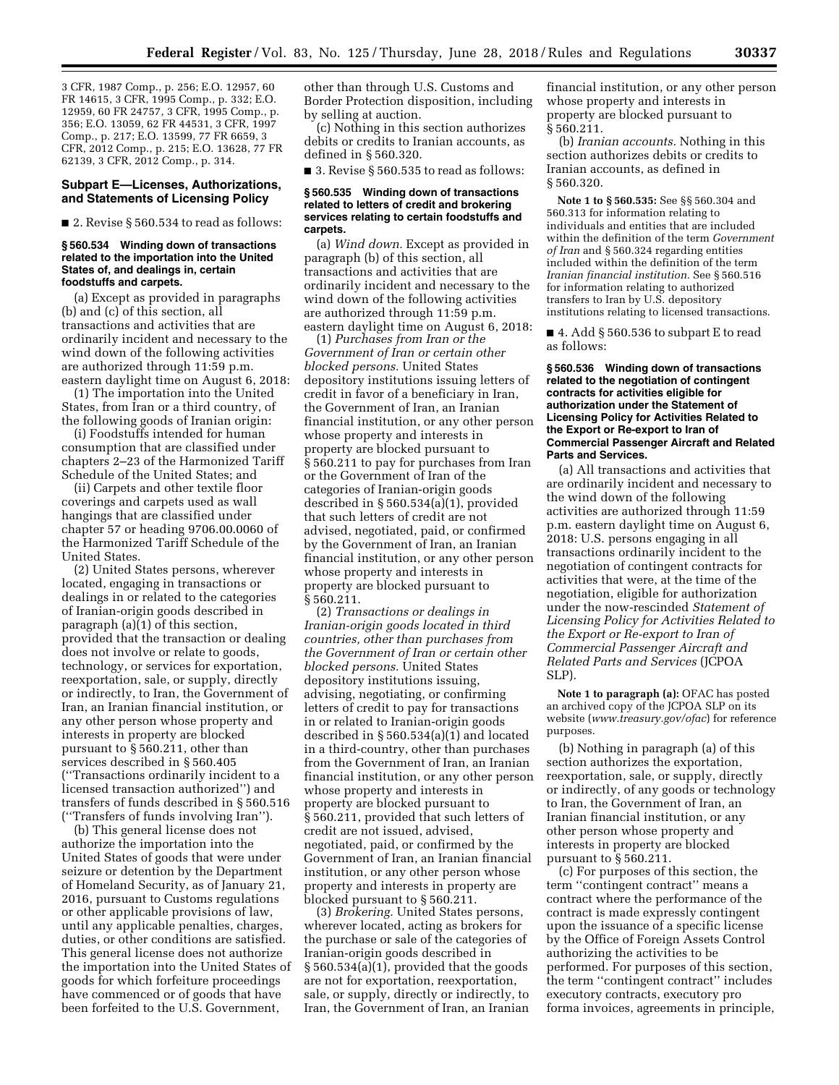3 CFR, 1987 Comp., p. 256; E.O. 12957, 60 FR 14615, 3 CFR, 1995 Comp., p. 332; E.O. 12959, 60 FR 24757, 3 CFR, 1995 Comp., p. 356; E.O. 13059, 62 FR 44531, 3 CFR, 1997 Comp., p. 217; E.O. 13599, 77 FR 6659, 3 CFR, 2012 Comp., p. 215; E.O. 13628, 77 FR 62139, 3 CFR, 2012 Comp., p. 314.

#### **Subpart E—Licenses, Authorizations, and Statements of Licensing Policy**

■ 2. Revise § 560.534 to read as follows:

#### **§ 560.534 Winding down of transactions related to the importation into the United States of, and dealings in, certain foodstuffs and carpets.**

(a) Except as provided in paragraphs (b) and (c) of this section, all transactions and activities that are ordinarily incident and necessary to the wind down of the following activities are authorized through 11:59 p.m. eastern daylight time on August 6, 2018:

(1) The importation into the United States, from Iran or a third country, of the following goods of Iranian origin:

(i) Foodstuffs intended for human consumption that are classified under chapters 2–23 of the Harmonized Tariff Schedule of the United States; and

(ii) Carpets and other textile floor coverings and carpets used as wall hangings that are classified under chapter 57 or heading 9706.00.0060 of the Harmonized Tariff Schedule of the United States.

(2) United States persons, wherever located, engaging in transactions or dealings in or related to the categories of Iranian-origin goods described in paragraph (a)(1) of this section, provided that the transaction or dealing does not involve or relate to goods, technology, or services for exportation, reexportation, sale, or supply, directly or indirectly, to Iran, the Government of Iran, an Iranian financial institution, or any other person whose property and interests in property are blocked pursuant to § 560.211, other than services described in § 560.405 (''Transactions ordinarily incident to a licensed transaction authorized'') and transfers of funds described in § 560.516 (''Transfers of funds involving Iran'').

(b) This general license does not authorize the importation into the United States of goods that were under seizure or detention by the Department of Homeland Security, as of January 21, 2016, pursuant to Customs regulations or other applicable provisions of law, until any applicable penalties, charges, duties, or other conditions are satisfied. This general license does not authorize the importation into the United States of goods for which forfeiture proceedings have commenced or of goods that have been forfeited to the U.S. Government,

other than through U.S. Customs and Border Protection disposition, including by selling at auction.

(c) Nothing in this section authorizes debits or credits to Iranian accounts, as defined in § 560.320.

■ 3. Revise § 560.535 to read as follows:

#### **§ 560.535 Winding down of transactions related to letters of credit and brokering services relating to certain foodstuffs and carpets.**

(a) *Wind down.* Except as provided in paragraph (b) of this section, all transactions and activities that are ordinarily incident and necessary to the wind down of the following activities are authorized through 11:59 p.m. eastern daylight time on August 6, 2018:

(1) *Purchases from Iran or the Government of Iran or certain other blocked persons.* United States depository institutions issuing letters of credit in favor of a beneficiary in Iran, the Government of Iran, an Iranian financial institution, or any other person whose property and interests in property are blocked pursuant to § 560.211 to pay for purchases from Iran or the Government of Iran of the categories of Iranian-origin goods described in § 560.534(a)(1), provided that such letters of credit are not advised, negotiated, paid, or confirmed by the Government of Iran, an Iranian financial institution, or any other person whose property and interests in property are blocked pursuant to § 560.211.

(2) *Transactions or dealings in Iranian-origin goods located in third countries, other than purchases from the Government of Iran or certain other blocked persons.* United States depository institutions issuing, advising, negotiating, or confirming letters of credit to pay for transactions in or related to Iranian-origin goods described in § 560.534(a)(1) and located in a third-country, other than purchases from the Government of Iran, an Iranian financial institution, or any other person whose property and interests in property are blocked pursuant to § 560.211, provided that such letters of credit are not issued, advised, negotiated, paid, or confirmed by the Government of Iran, an Iranian financial institution, or any other person whose property and interests in property are blocked pursuant to § 560.211.

(3) *Brokering.* United States persons, wherever located, acting as brokers for the purchase or sale of the categories of Iranian-origin goods described in § 560.534(a)(1), provided that the goods are not for exportation, reexportation, sale, or supply, directly or indirectly, to Iran, the Government of Iran, an Iranian

financial institution, or any other person whose property and interests in property are blocked pursuant to § 560.211.

(b) *Iranian accounts.* Nothing in this section authorizes debits or credits to Iranian accounts, as defined in § 560.320.

**Note 1 to § 560.535:** See §§ 560.304 and 560.313 for information relating to individuals and entities that are included within the definition of the term *Government of Iran* and § 560.324 regarding entities included within the definition of the term *Iranian financial institution.* See § 560.516 for information relating to authorized transfers to Iran by U.S. depository institutions relating to licensed transactions.

■ 4. Add § 560.536 to subpart E to read as follows:

#### **§ 560.536 Winding down of transactions related to the negotiation of contingent contracts for activities eligible for authorization under the Statement of Licensing Policy for Activities Related to the Export or Re-export to Iran of Commercial Passenger Aircraft and Related Parts and Services.**

(a) All transactions and activities that are ordinarily incident and necessary to the wind down of the following activities are authorized through 11:59 p.m. eastern daylight time on August 6, 2018: U.S. persons engaging in all transactions ordinarily incident to the negotiation of contingent contracts for activities that were, at the time of the negotiation, eligible for authorization under the now-rescinded *Statement of Licensing Policy for Activities Related to the Export or Re-export to Iran of Commercial Passenger Aircraft and Related Parts and Services* (JCPOA SLP).

**Note 1 to paragraph (a):** OFAC has posted an archived copy of the JCPOA SLP on its website (*[www.treasury.gov/ofac](http://www.treasury.gov/ofac)*) for reference purposes.

(b) Nothing in paragraph (a) of this section authorizes the exportation, reexportation, sale, or supply, directly or indirectly, of any goods or technology to Iran, the Government of Iran, an Iranian financial institution, or any other person whose property and interests in property are blocked pursuant to § 560.211.

(c) For purposes of this section, the term ''contingent contract'' means a contract where the performance of the contract is made expressly contingent upon the issuance of a specific license by the Office of Foreign Assets Control authorizing the activities to be performed. For purposes of this section, the term ''contingent contract'' includes executory contracts, executory pro forma invoices, agreements in principle,